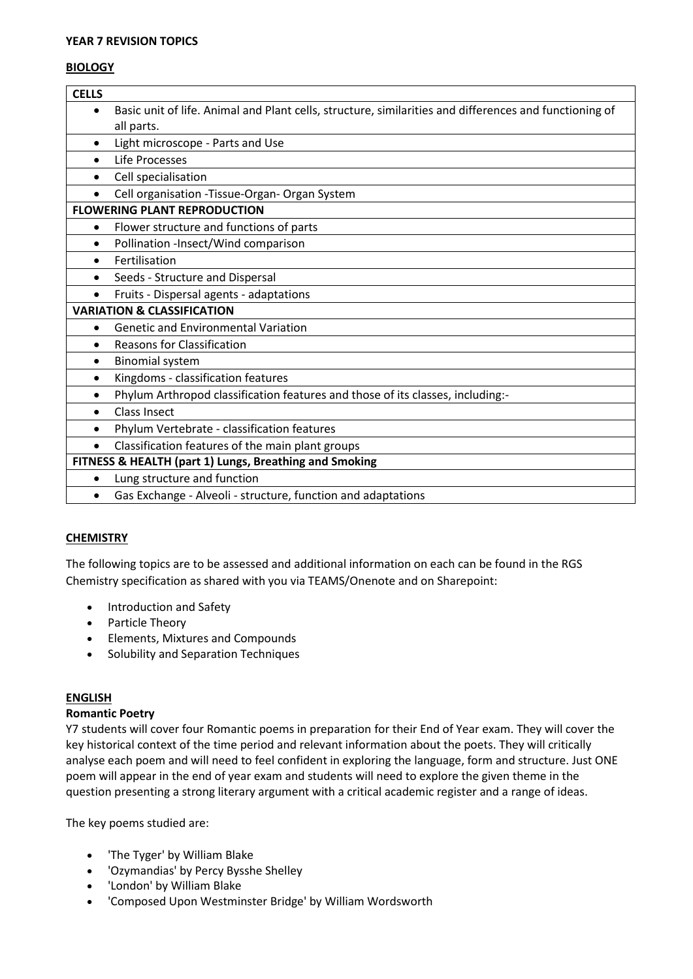#### **YEAR 7 REVISION TOPICS**

#### **BIOLOGY**

| <b>CELLS</b>                                           |                                                                                                        |  |  |  |
|--------------------------------------------------------|--------------------------------------------------------------------------------------------------------|--|--|--|
| $\bullet$                                              | Basic unit of life. Animal and Plant cells, structure, similarities and differences and functioning of |  |  |  |
|                                                        | all parts.                                                                                             |  |  |  |
| $\bullet$                                              | Light microscope - Parts and Use                                                                       |  |  |  |
|                                                        | Life Processes                                                                                         |  |  |  |
| $\bullet$                                              | Cell specialisation                                                                                    |  |  |  |
|                                                        | Cell organisation - Tissue-Organ- Organ System                                                         |  |  |  |
| <b>FLOWERING PLANT REPRODUCTION</b>                    |                                                                                                        |  |  |  |
| $\bullet$                                              | Flower structure and functions of parts                                                                |  |  |  |
| $\bullet$                                              | Pollination -Insect/Wind comparison                                                                    |  |  |  |
| $\bullet$                                              | Fertilisation                                                                                          |  |  |  |
| $\bullet$                                              | Seeds - Structure and Dispersal                                                                        |  |  |  |
| $\bullet$                                              | Fruits - Dispersal agents - adaptations                                                                |  |  |  |
| <b>VARIATION &amp; CLASSIFICATION</b>                  |                                                                                                        |  |  |  |
| $\bullet$                                              | <b>Genetic and Environmental Variation</b>                                                             |  |  |  |
| $\bullet$                                              | <b>Reasons for Classification</b>                                                                      |  |  |  |
| $\bullet$                                              | <b>Binomial system</b>                                                                                 |  |  |  |
| $\bullet$                                              | Kingdoms - classification features                                                                     |  |  |  |
| $\bullet$                                              | Phylum Arthropod classification features and those of its classes, including:-                         |  |  |  |
| $\bullet$                                              | <b>Class Insect</b>                                                                                    |  |  |  |
| $\bullet$                                              | Phylum Vertebrate - classification features                                                            |  |  |  |
| $\bullet$                                              | Classification features of the main plant groups                                                       |  |  |  |
| FITNESS & HEALTH (part 1) Lungs, Breathing and Smoking |                                                                                                        |  |  |  |
| $\bullet$                                              | Lung structure and function                                                                            |  |  |  |
|                                                        | Gas Exchange - Alveoli - structure, function and adaptations                                           |  |  |  |

# **CHEMISTRY**

The following topics are to be assessed and additional information on each can be found in the RGS Chemistry specification as shared with you via TEAMS/Onenote and on Sharepoint:

- Introduction and Safety
- Particle Theory
- Elements, Mixtures and Compounds
- Solubility and Separation Techniques

# **ENGLISH**

## **Romantic Poetry**

Y7 students will cover four Romantic poems in preparation for their End of Year exam. They will cover the key historical context of the time period and relevant information about the poets. They will critically analyse each poem and will need to feel confident in exploring the language, form and structure. Just ONE poem will appear in the end of year exam and students will need to explore the given theme in the question presenting a strong literary argument with a critical academic register and a range of ideas.

The key poems studied are:

- 'The Tyger' by William Blake
- 'Ozymandias' by Percy Bysshe Shelley
- 'London' by William Blake
- 'Composed Upon Westminster Bridge' by William Wordsworth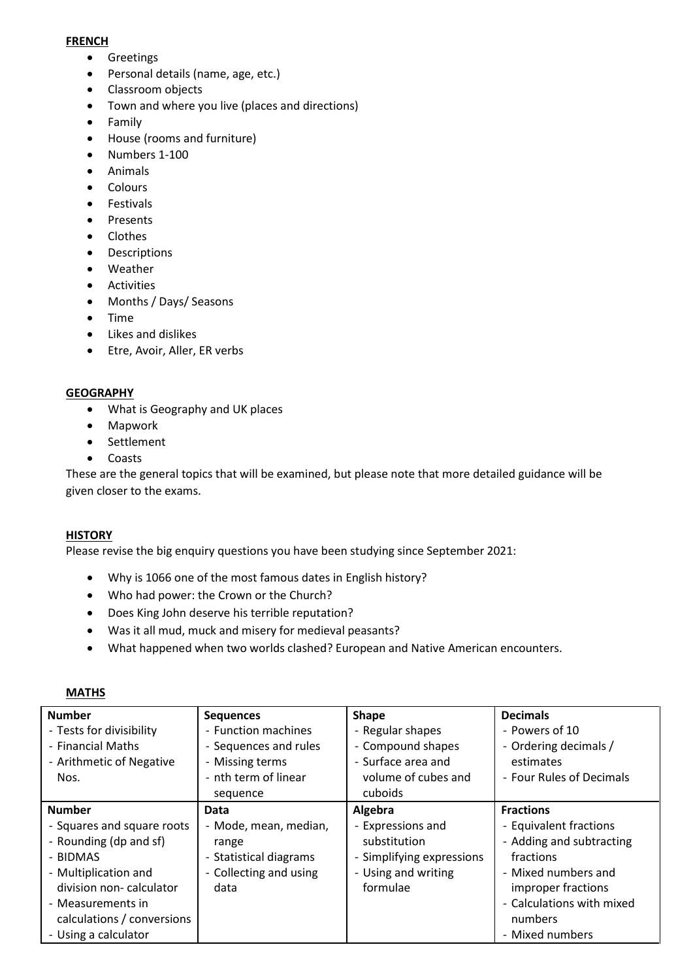#### **FRENCH**

- Greetings
- Personal details (name, age, etc.)
- Classroom objects
- Town and where you live (places and directions)
- Family
- House (rooms and furniture)
- Numbers 1-100
- Animals
- Colours
- Festivals
- Presents
- Clothes
- Descriptions
- Weather
- Activities
- Months / Days/ Seasons
- Time
- Likes and dislikes
- Etre, Avoir, Aller, ER verbs

## **GEOGRAPHY**

- What is Geography and UK places
- Mapwork
- Settlement
- Coasts

These are the general topics that will be examined, but please note that more detailed guidance will be given closer to the exams.

# **HISTORY**

Please revise the big enquiry questions you have been studying since September 2021:

- Why is 1066 one of the most famous dates in English history?
- Who had power: the Crown or the Church?
- Does King John deserve his terrible reputation?
- Was it all mud, muck and misery for medieval peasants?
- What happened when two worlds clashed? European and Native American encounters.

| <b>Number</b>              | <b>Sequences</b>       | <b>Shape</b>              | <b>Decimals</b>           |  |  |
|----------------------------|------------------------|---------------------------|---------------------------|--|--|
| - Tests for divisibility   | - Function machines    | - Regular shapes          | - Powers of 10            |  |  |
| - Financial Maths          | - Sequences and rules  | - Compound shapes         | - Ordering decimals /     |  |  |
| - Arithmetic of Negative   | - Missing terms        | - Surface area and        | estimates                 |  |  |
| Nos.                       | - nth term of linear   | volume of cubes and       | - Four Rules of Decimals  |  |  |
|                            | sequence               | cuboids                   |                           |  |  |
| <b>Number</b>              | Data                   | Algebra                   | <b>Fractions</b>          |  |  |
| - Squares and square roots | - Mode, mean, median,  | - Expressions and         | - Equivalent fractions    |  |  |
| - Rounding (dp and sf)     | range                  | substitution              | - Adding and subtracting  |  |  |
| - BIDMAS                   | - Statistical diagrams | - Simplifying expressions | fractions                 |  |  |
| - Multiplication and       | - Collecting and using | - Using and writing       | - Mixed numbers and       |  |  |
| division non-calculator    | data                   | formulae                  | improper fractions        |  |  |
| - Measurements in          |                        |                           | - Calculations with mixed |  |  |
| calculations / conversions |                        |                           | numbers                   |  |  |
| - Using a calculator       |                        |                           | - Mixed numbers           |  |  |

#### **MATHS**